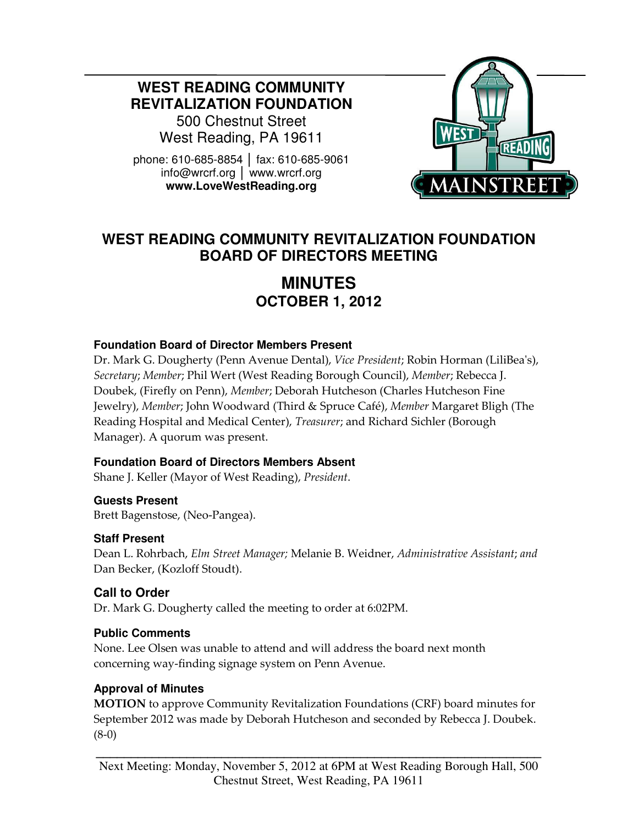**WEST READING COMMUNITY REVITALIZATION FOUNDATION** 

500 Chestnut Street West Reading, PA 19611

phone: 610-685-8854 │ fax: 610-685-9061 info@wrcrf.org │ www.wrcrf.org **www.LoveWestReading.org** 



# **WEST READING COMMUNITY REVITALIZATION FOUNDATION BOARD OF DIRECTORS MEETING**

# **MINUTES OCTOBER 1, 2012**

### **Foundation Board of Director Members Present**

Dr. Mark G. Dougherty (Penn Avenue Dental), Vice President; Robin Horman (LiliBea's), Secretary; Member; Phil Wert (West Reading Borough Council), Member; Rebecca J. Doubek, (Firefly on Penn), Member; Deborah Hutcheson (Charles Hutcheson Fine Jewelry), Member; John Woodward (Third & Spruce Café), Member Margaret Bligh (The Reading Hospital and Medical Center), Treasurer; and Richard Sichler (Borough Manager). A quorum was present.

#### **Foundation Board of Directors Members Absent**

Shane J. Keller (Mayor of West Reading), President.

**Guests Present** Brett Bagenstose, (Neo-Pangea).

#### **Staff Present**

Dean L. Rohrbach, Elm Street Manager; Melanie B. Weidner, Administrative Assistant; and Dan Becker, (Kozloff Stoudt).

# **Call to Order**

Dr. Mark G. Dougherty called the meeting to order at 6:02PM.

#### **Public Comments**

None. Lee Olsen was unable to attend and will address the board next month concerning way-finding signage system on Penn Avenue.

#### **Approval of Minutes**

MOTION to approve Community Revitalization Foundations (CRF) board minutes for September 2012 was made by Deborah Hutcheson and seconded by Rebecca J. Doubek. (8-0)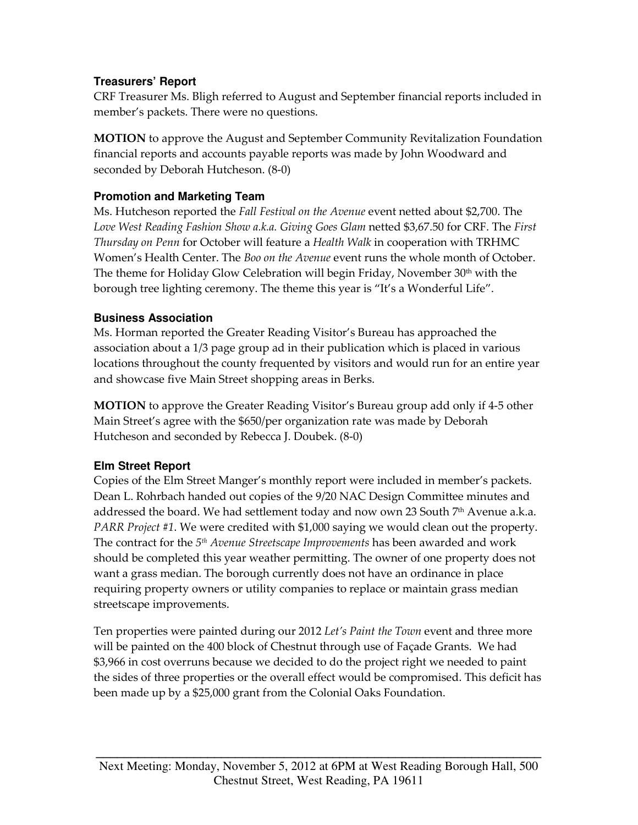## **Treasurers' Report**

CRF Treasurer Ms. Bligh referred to August and September financial reports included in member's packets. There were no questions.

MOTION to approve the August and September Community Revitalization Foundation financial reports and accounts payable reports was made by John Woodward and seconded by Deborah Hutcheson. (8-0)

## **Promotion and Marketing Team**

Ms. Hutcheson reported the Fall Festival on the Avenue event netted about \$2,700. The Love West Reading Fashion Show a.k.a. Giving Goes Glam netted \$3,67.50 for CRF. The First Thursday on Penn for October will feature a Health Walk in cooperation with TRHMC Women's Health Center. The Boo on the Avenue event runs the whole month of October. The theme for Holiday Glow Celebration will begin Friday, November 30th with the borough tree lighting ceremony. The theme this year is "It's a Wonderful Life".

## **Business Association**

Ms. Horman reported the Greater Reading Visitor's Bureau has approached the association about a 1/3 page group ad in their publication which is placed in various locations throughout the county frequented by visitors and would run for an entire year and showcase five Main Street shopping areas in Berks.

MOTION to approve the Greater Reading Visitor's Bureau group add only if 4-5 other Main Street's agree with the \$650/per organization rate was made by Deborah Hutcheson and seconded by Rebecca J. Doubek. (8-0)

# **Elm Street Report**

Copies of the Elm Street Manger's monthly report were included in member's packets. Dean L. Rohrbach handed out copies of the 9/20 NAC Design Committee minutes and addressed the board. We had settlement today and now own 23 South  $7<sup>th</sup>$  Avenue a.k.a. PARR Project #1. We were credited with \$1,000 saying we would clean out the property. The contract for the 5<sup>th</sup> Avenue Streetscape Improvements has been awarded and work should be completed this year weather permitting. The owner of one property does not want a grass median. The borough currently does not have an ordinance in place requiring property owners or utility companies to replace or maintain grass median streetscape improvements.

Ten properties were painted during our 2012 Let's Paint the Town event and three more will be painted on the 400 block of Chestnut through use of Façade Grants. We had \$3,966 in cost overruns because we decided to do the project right we needed to paint the sides of three properties or the overall effect would be compromised. This deficit has been made up by a \$25,000 grant from the Colonial Oaks Foundation.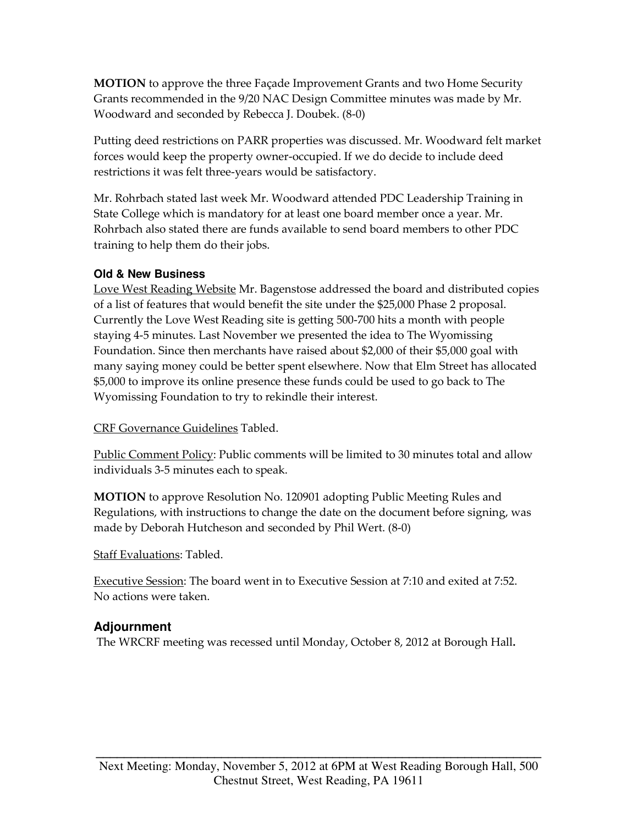MOTION to approve the three Façade Improvement Grants and two Home Security Grants recommended in the 9/20 NAC Design Committee minutes was made by Mr. Woodward and seconded by Rebecca J. Doubek. (8-0)

Putting deed restrictions on PARR properties was discussed. Mr. Woodward felt market forces would keep the property owner-occupied. If we do decide to include deed restrictions it was felt three-years would be satisfactory.

Mr. Rohrbach stated last week Mr. Woodward attended PDC Leadership Training in State College which is mandatory for at least one board member once a year. Mr. Rohrbach also stated there are funds available to send board members to other PDC training to help them do their jobs.

### **Old & New Business**

Love West Reading Website Mr. Bagenstose addressed the board and distributed copies of a list of features that would benefit the site under the \$25,000 Phase 2 proposal. Currently the Love West Reading site is getting 500-700 hits a month with people staying 4-5 minutes. Last November we presented the idea to The Wyomissing Foundation. Since then merchants have raised about \$2,000 of their \$5,000 goal with many saying money could be better spent elsewhere. Now that Elm Street has allocated \$5,000 to improve its online presence these funds could be used to go back to The Wyomissing Foundation to try to rekindle their interest.

CRF Governance Guidelines Tabled.

Public Comment Policy: Public comments will be limited to 30 minutes total and allow individuals 3-5 minutes each to speak.

MOTION to approve Resolution No. 120901 adopting Public Meeting Rules and Regulations, with instructions to change the date on the document before signing, was made by Deborah Hutcheson and seconded by Phil Wert. (8-0)

Staff Evaluations: Tabled.

Executive Session: The board went in to Executive Session at 7:10 and exited at 7:52. No actions were taken.

# **Adjournment**

The WRCRF meeting was recessed until Monday, October 8, 2012 at Borough Hall.

**\_\_\_\_\_\_\_\_\_\_\_\_\_\_\_\_\_\_\_\_\_\_\_\_\_\_\_\_\_\_\_\_\_\_\_\_\_\_\_\_\_\_\_\_\_\_\_\_\_\_\_\_\_\_\_\_\_\_\_\_\_\_\_\_**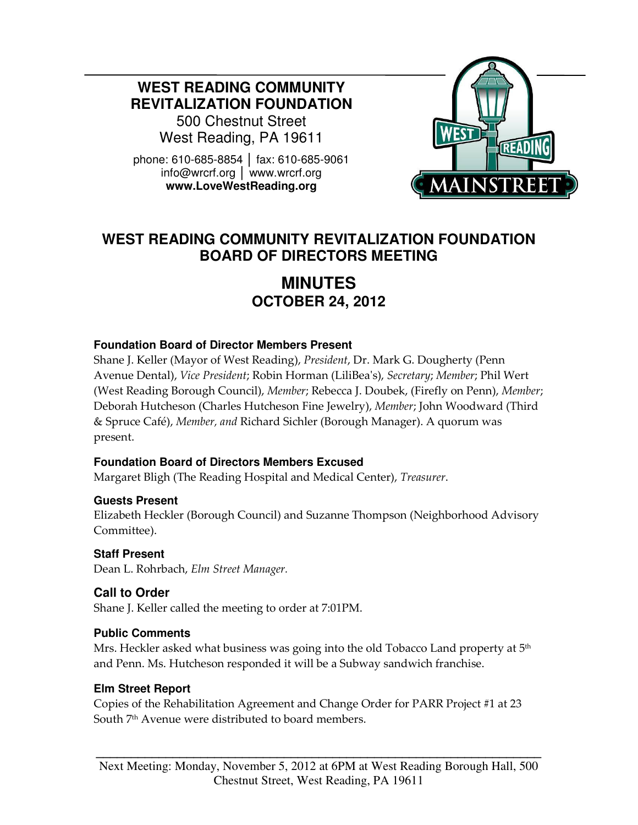**WEST READING COMMUNITY REVITALIZATION FOUNDATION** 

500 Chestnut Street West Reading, PA 19611

phone: 610-685-8854 │ fax: 610-685-9061 info@wrcrf.org │ www.wrcrf.org **www.LoveWestReading.org** 



# **WEST READING COMMUNITY REVITALIZATION FOUNDATION BOARD OF DIRECTORS MEETING**

# **MINUTES OCTOBER 24, 2012**

### **Foundation Board of Director Members Present**

Shane J. Keller (Mayor of West Reading), President, Dr. Mark G. Dougherty (Penn Avenue Dental), Vice President; Robin Horman (LiliBea's), Secretary; Member; Phil Wert (West Reading Borough Council), Member; Rebecca J. Doubek, (Firefly on Penn), Member; Deborah Hutcheson (Charles Hutcheson Fine Jewelry), Member; John Woodward (Third & Spruce Café), Member, and Richard Sichler (Borough Manager). A quorum was present.

## **Foundation Board of Directors Members Excused**

Margaret Bligh (The Reading Hospital and Medical Center), Treasurer.

#### **Guests Present**

Elizabeth Heckler (Borough Council) and Suzanne Thompson (Neighborhood Advisory Committee).

## **Staff Present**

Dean L. Rohrbach, Elm Street Manager.

# **Call to Order**

Shane J. Keller called the meeting to order at 7:01PM.

#### **Public Comments**

Mrs. Heckler asked what business was going into the old Tobacco Land property at  $5<sup>th</sup>$ and Penn. Ms. Hutcheson responded it will be a Subway sandwich franchise.

#### **Elm Street Report**

Copies of the Rehabilitation Agreement and Change Order for PARR Project #1 at 23 South 7<sup>th</sup> Avenue were distributed to board members.

**\_\_\_\_\_\_\_\_\_\_\_\_\_\_\_\_\_\_\_\_\_\_\_\_\_\_\_\_\_\_\_\_\_\_\_\_\_\_\_\_\_\_\_\_\_\_\_\_\_\_\_\_\_\_\_\_\_\_\_\_\_\_\_\_**